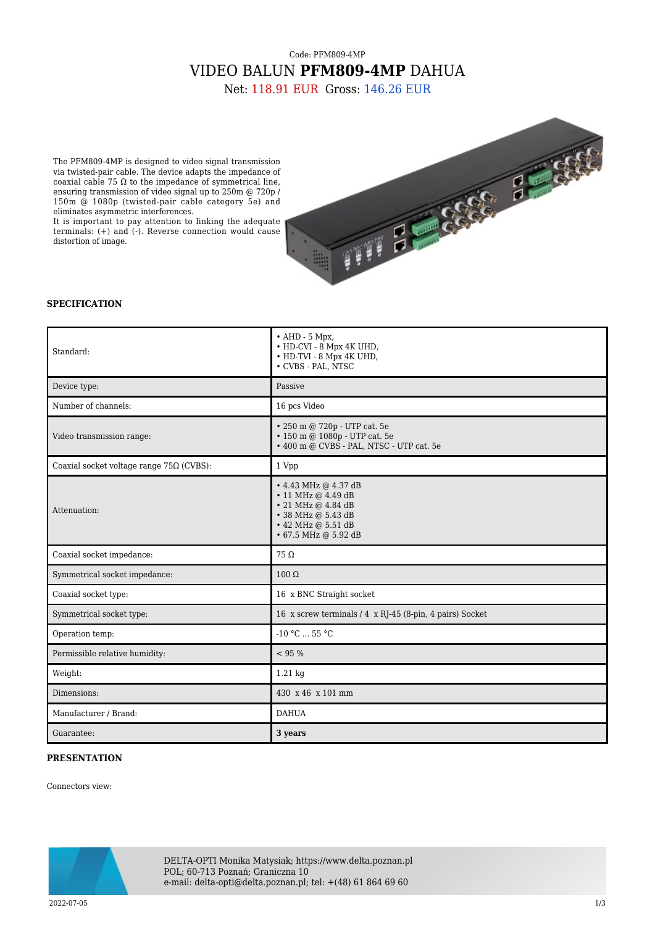## Code: PFM809-4MP VIDEO BALUN **PFM809-4MP** DAHUA

Net: 118.91 EUR Gross: 146.26 EUR

The PFM809-4MP is designed to video signal transmission via twisted-pair cable. The device adapts the impedance of coaxial cable 75 Ω to the impedance of symmetrical line, ensuring transmission of video signal up to 250m @ 720p / 150m @ 1080p (twisted-pair cable category 5e) and eliminates asymmetric interferences.

It is important to pay attention to linking the adequate terminals: (+) and (-). Reverse connection would cause distortion of image.



#### **SPECIFICATION**

| Standard:                                       | $\bullet$ AHD - 5 Mpx,<br>• HD-CVI - 8 Mpx 4K UHD,<br>• HD-TVI - 8 Mpx 4K UHD,<br>$\bullet$ CVBS - PAL, NTSC                                                 |
|-------------------------------------------------|--------------------------------------------------------------------------------------------------------------------------------------------------------------|
| Device type:                                    | Passive                                                                                                                                                      |
| Number of channels:                             | 16 pcs Video                                                                                                                                                 |
| Video transmission range:                       | • 250 m @ 720p - UTP cat. 5e<br>• 150 m @ 1080p - UTP cat. 5e<br>• 400 m @ CVBS - PAL, NTSC - UTP cat. 5e                                                    |
| Coaxial socket voltage range $75\Omega$ (CVBS): | 1 Vpp                                                                                                                                                        |
| Attenuation:                                    | $\cdot$ 4.43 MHz @ 4.37 dB<br>$\cdot$ 11 MHz @ 4.49 dB<br>$\cdot$ 21 MHz @ 4.84 dB<br>• 38 MHz @ 5.43 dB<br>$\cdot$ 42 MHz @ 5.51 dB<br>• 67.5 MHz @ 5.92 dB |
| Coaxial socket impedance:                       | $75 \Omega$                                                                                                                                                  |
| Symmetrical socket impedance:                   | $100 \Omega$                                                                                                                                                 |
| Coaxial socket type:                            | 16 x BNC Straight socket                                                                                                                                     |
| Symmetrical socket type:                        | 16 x screw terminals / 4 x RJ-45 (8-pin, 4 pairs) Socket                                                                                                     |
| Operation temp:                                 | $-10 °C$ 55 °C                                                                                                                                               |
| Permissible relative humidity:                  | $< 95 \%$                                                                                                                                                    |
| Weight:                                         | 1.21 kg                                                                                                                                                      |
| Dimensions:                                     | 430 x 46 x 101 mm                                                                                                                                            |
| Manufacturer / Brand:                           | <b>DAHUA</b>                                                                                                                                                 |
| Guarantee:                                      | 3 years                                                                                                                                                      |

### **PRESENTATION**

Connectors view:



DELTA-OPTI Monika Matysiak; https://www.delta.poznan.pl POL; 60-713 Poznań; Graniczna 10 e-mail: delta-opti@delta.poznan.pl; tel: +(48) 61 864 69 60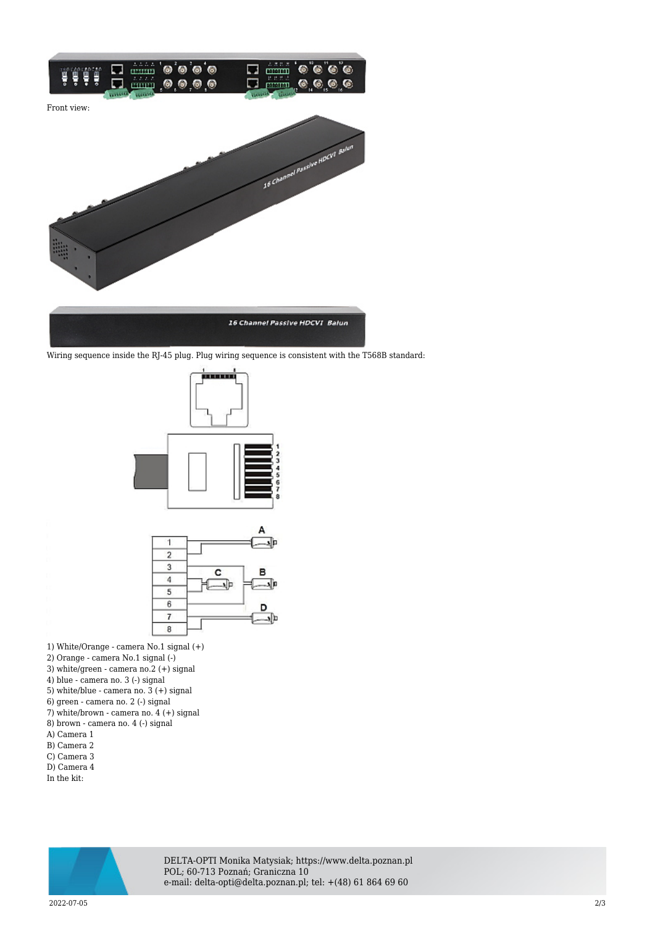

Wiring sequence inside the RJ-45 plug. Plug wiring sequence is consistent with the T568B standard:





1) White/Orange - camera No.1 signal (+)

- 2) Orange camera No.1 signal (-)
- 3) white/green camera no.2 (+) signal
- 4) blue camera no. 3 (-) signal
- 5) white/blue camera no. 3 (+) signal
- 6) green camera no. 2 (-) signal
- 7) white/brown camera no. 4 (+) signal
- 8) brown camera no. 4 (-) signal
- A) Camera 1
- B) Camera 2 C) Camera 3
- D) Camera 4
- In the kit:



DELTA-OPTI Monika Matysiak; https://www.delta.poznan.pl POL; 60-713 Poznań; Graniczna 10 e-mail: delta-opti@delta.poznan.pl; tel: +(48) 61 864 69 60

2022-07-05 2/3